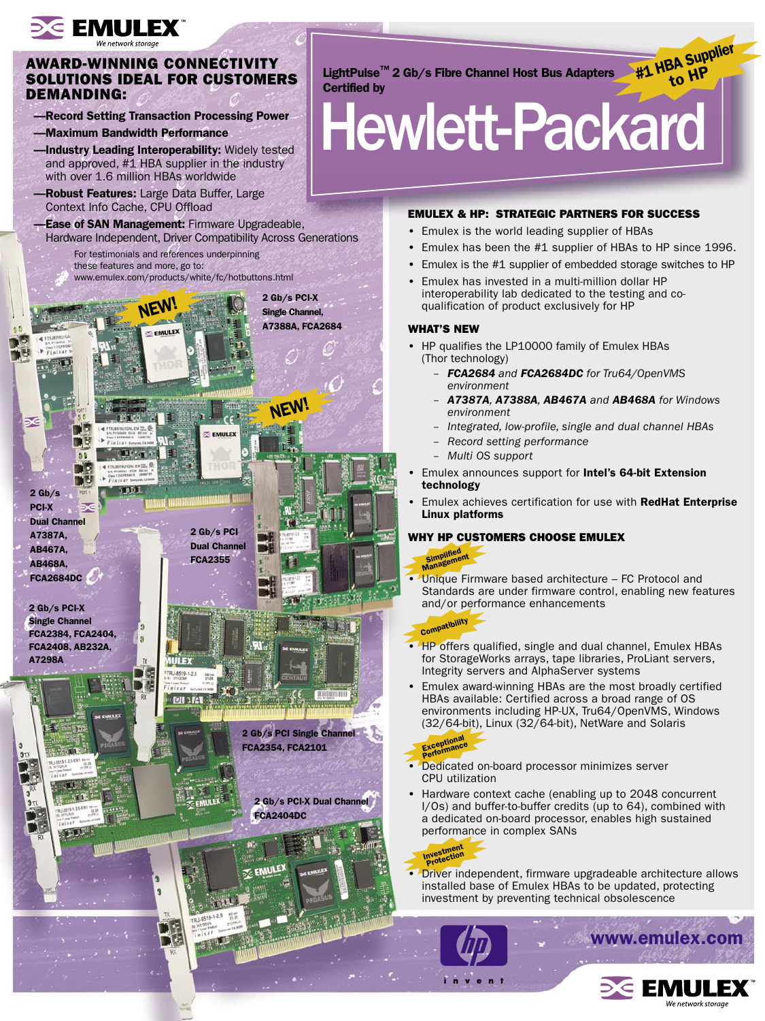## $\geq$  EMULEX

## AWARD-WINNING CONNECTIVITY SOLUTIONS IDEAL FOR CUSTOMERS DEMANDING:

- —Record Setting Transaction Processing Power
- —Maximum Bandwidth Performance
- -Industry Leading Interoperability: Widely tested and approved, #1 HBA supplier in the industry with over 1.6 million HBAs worldwide
- -Robust Features: Large Data Buffer, Large Context Info Cache, CPU Offload
- -Ease of SAN Management: Firmware Upgradeable, Hardware Independent, Driver Compatibility Across Generations
	- For testimonials and references underpinning these features and more, go to: www.emulex.com/products/white/fc/hotbuttons.html



LightPulse™ 2 Gb/s Fibre Channel Host Bus Adapters Certified by

# Hewlett-Packard

## EMULEX & HP: STRATEGIC PARTNERS FOR SUCCESS

- Emulex is the world leading supplier of HBAs
- Emulex has been the #1 supplier of HBAs to HP since 1996.

#1 HBA Supplier

- Emulex is the #1 supplier of embedded storage switches to HP
- Emulex has invested in a multi-million dollar HP interoperability lab dedicated to the testing and coqualification of product exclusively for HP

### WHAT'S NEW

- HP qualifies the LP10000 family of Emulex HBAs (Thor technology)
	- *FCA2684 and FCA2684DC for Tru64/OpenVMS environment*
	- *A7387A, A7388A, AB467A and AB468A for Windows environment*
	- *Integrated, low-profile, single and dual channel HBAs*
	- *Record setting performance*
	- *Multi OS support*
- Emulex announces support for Intel's 64-bit Extension technology
- Emulex achieves certification for use with RedHat Enterprise Linux platforms

## WHY HP CUSTOMERS CHOOSE EMULEX

# Simplified<br>Management

• Unique Firmware based architecture – FC Protocol and Standards are under firmware control, enabling new features and/or performance enhancements

## **Compatibility**

- HP offers qualified, single and dual channel, Emulex HBAs for StorageWorks arrays, tape libraries, ProLiant servers, Integrity servers and AlphaServer systems
- Emulex award-winning HBAs are the most broadly certified HBAs available: Certified across a broad range of OS environments including HP-UX, Tru64/OpenVMS, Windows (32/64-bit), Linux (32/64-bit), NetWare and Solaris

#### Exceptional Exceptionce

- Dedicated on-board processor minimizes server CPU utilization
- Hardware context cache (enabling up to 2048 concurrent I/Os) and buffer-to-buffer credits (up to 64), combined with a dedicated on-board processor, enables high sustained performance in complex SANs

## Investment<br>Protection

• Driver independent, firmware upgradeable architecture allows installed base of Emulex HBAs to be updated, protecting investment by preventing technical obsolescence